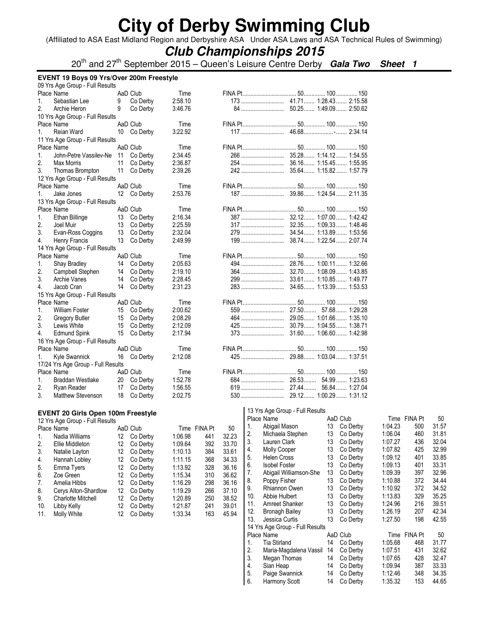(Affiliated to ASA East Midland Region and Derbyshire ASA Under ASA Laws and ASA Technical Rules of Swimming)

### **Club Championships 2015**

20th and 27th September 2015 – Queen's Leisure Centre Derby **Gala Two Sheet 1**

|          | EVENT 19 Boys 09 Yrs/Over 200m Freestyle  |    |             |         |              |       |     |                                 |          |                |         |              |       |
|----------|-------------------------------------------|----|-------------|---------|--------------|-------|-----|---------------------------------|----------|----------------|---------|--------------|-------|
|          | 09 Yrs Age Group - Full Results           |    |             |         |              |       |     |                                 |          |                |         |              |       |
|          | Place Name                                |    | AaD Club    | Time    |              |       |     |                                 |          |                |         |              |       |
| 1.       | Sebastian Lee                             | 9  | Co Derby    | 2:58.10 |              |       |     |                                 |          |                |         |              |       |
| 2.       | Archie Heron                              | 9  | Co Derby    | 3:46.76 |              |       |     | 50.25 1:49.09 2:50.62<br>84     |          |                |         |              |       |
|          | 10 Yrs Age Group - Full Results           |    |             |         |              |       |     |                                 |          |                |         |              |       |
|          | Place Name                                |    | AaD Club    | Time    |              |       |     |                                 |          |                |         |              |       |
| 1.       | Reian Ward                                |    | 10 Co Derby | 3:22.92 |              |       |     |                                 |          |                |         |              |       |
|          | 11 Yrs Age Group - Full Results           |    |             |         |              |       |     |                                 |          |                |         |              |       |
|          | Place Name                                |    | AaD Club    | Time    |              |       |     |                                 |          |                |         |              |       |
| 1.       | John-Petre Vassilev-Ne                    |    | 11 Co Derby | 2:34.45 |              |       |     |                                 |          |                |         |              |       |
| 2.       | Max Morris                                | 11 | Co Derby    | 2:36.87 |              |       |     | 36.16 1:15.45 1:55.95<br>254    |          |                |         |              |       |
| 3.       | Thomas Brompton                           | 11 | Co Derby    | 2:39.26 |              |       |     |                                 |          |                |         |              |       |
|          | 12 Yrs Age Group - Full Results           |    |             |         |              |       |     |                                 |          |                |         |              |       |
|          | Place Name                                |    | AaD Club    | Time    |              |       |     |                                 |          |                |         |              |       |
| 1.       | Jake Jones                                |    | 12 Co Derby | 2:53.76 |              |       |     |                                 |          |                |         |              |       |
|          | 13 Yrs Age Group - Full Results           |    |             |         |              |       |     |                                 |          |                |         |              |       |
|          | Place Name                                |    | AaD Club    | Time    |              |       |     |                                 |          |                |         |              |       |
|          | Ethan Billinge                            |    |             | 2:16.34 |              |       |     |                                 |          |                |         |              |       |
| 1.<br>2. |                                           | 13 | Co Derby    |         |              |       |     |                                 |          |                |         |              |       |
|          | Joel Muir                                 | 13 | Co Derby    | 2:25.59 |              |       |     | 32.35 1:09.33 1:48.46<br>317    |          |                |         |              |       |
| 3.       | Evan-Ross Coggins                         | 13 | Co Derby    | 2:32.04 |              |       |     |                                 |          |                |         |              |       |
| 4.       | Henry Francis                             | 13 | Co Derby    | 2:49.99 |              |       |     |                                 |          |                |         |              |       |
|          | 14 Yrs Age Group - Full Results           |    |             |         |              |       |     |                                 |          |                |         |              |       |
|          | Place Name                                |    | AaD Club    | Time    |              |       |     |                                 |          |                |         |              |       |
| 1.       | <b>Shay Bradley</b>                       |    | 14 Co Derby | 2:05.63 |              |       |     |                                 |          |                |         |              |       |
| 2.       | Campbell Stephen                          | 14 | Co Derby    | 2:19.10 |              |       |     |                                 |          |                |         |              |       |
| 3.       | Archie Vanes                              | 14 | Co Derby    | 2:28.45 |              |       |     |                                 |          |                |         |              |       |
| 4.       | Jacob Cran                                | 14 | Co Derby    | 2:31.23 |              |       |     |                                 |          |                |         |              |       |
|          | 15 Yrs Age Group - Full Results           |    |             |         |              |       |     |                                 |          |                |         |              |       |
|          | Place Name                                |    | AaD Club    | Time    |              |       |     |                                 |          |                |         |              |       |
| 1.       | <b>William Foster</b>                     | 15 | Co Derby    | 2:00.62 |              |       |     |                                 |          |                |         |              |       |
| 2.       | Gregory Butler                            | 15 | Co Derby    | 2:08.29 |              |       |     |                                 |          |                |         |              |       |
| 3.       | Lewis White                               | 15 | Co Derby    | 2:12.09 |              |       |     | 30.79 1:04.55 1:38.71<br>425    |          |                |         |              |       |
| 4.       | Edmund Spink                              | 15 | Co Derby    | 2:17.94 |              |       |     |                                 |          |                |         |              |       |
|          | 16 Yrs Age Group - Full Results           |    |             |         |              |       |     |                                 |          |                |         |              |       |
|          | Place Name                                |    | AaD Club    | Time    |              |       |     |                                 |          |                |         |              |       |
| 1.       | Kyle Swannick                             |    | 16 Co Derby | 2:12.08 |              |       |     |                                 |          |                |         |              |       |
|          | 17/24 Yrs Age Group - Full Results        |    |             |         |              |       |     |                                 |          |                |         |              |       |
|          | Place Name                                |    | AaD Club    | Time    |              |       |     |                                 |          |                |         |              |       |
| 1.       | Braddan Westlake                          | 20 | Co Derby    | 1:52.78 |              |       |     |                                 |          | 54.99  1:23.63 |         |              |       |
| 2.       | Ryan Reader                               | 17 | Co Derby    | 1:56.55 |              |       |     | 27.44<br>619                    |          | 56.84  1:27.04 |         |              |       |
| 3.       | <b>Matthew Stevenson</b>                  | 18 | Co Derby    | 2:02.75 |              |       |     |                                 |          |                |         |              |       |
|          |                                           |    |             |         |              |       |     |                                 |          |                |         |              |       |
|          | <b>EVENT 20 Girls Open 100m Freestyle</b> |    |             |         |              |       |     | 13 Yrs Age Group - Full Results |          |                |         |              |       |
|          | 12 Yrs Age Group - Full Results           |    |             |         |              |       |     | Place Name                      | AaD Club |                |         | Time FINA Pt | 50    |
|          | Place Name                                |    | AaD Club    |         | Time FINA Pt | 50    | 1.  | Abigail Mason                   |          | 13 Co Derby    | 1:04.23 | 500          | 31.57 |
| 1.       | Nadia Williams                            | 12 | Co Derby    | 1:06.98 | 441          | 32.23 | 2.  | Michaela Stephen                |          | 13 Co Derby    | 1:06.04 | 460          | 31.81 |
| 2.       | Ellie Middleton                           | 12 | Co Derby    | 1:09.64 | 392          | 33.70 | 3.  | Lauren Clark                    | 13       | Co Derby       | 1:07.27 | 436          | 32.04 |
| 3.       | Natalie Layton                            | 12 | Co Derby    | 1:10.13 | 384          | 33.61 | 4.  | Molly Cooper                    | 13       | Co Derby       | 1:07.82 | 425          | 32.99 |
| 4.       | Hannah Lobley                             | 12 | Co Derby    | 1:11.15 | 368          | 34.33 | 5.  | <b>Helen Cross</b>              | 13       | Co Derby       | 1:09.12 | 401          | 33.85 |
|          | Emma Tyers                                | 12 | Co Derby    | 1:13.92 | 328          | 36.16 | 6.  | <b>Isobel Foster</b>            | 13       | Co Derby       | 1:09.13 | 401          | 33.31 |
| 5.       |                                           |    |             |         |              |       | 7.  | Abigail Williamson-She          | 13       | Co Derby       | 1:09.39 | 397          | 32.96 |
| 6.       | Zoe Green                                 | 12 | Co Derby    | 1:15.34 | 310          | 36.62 | 8.  | Poppy Fisher                    | 13       | Co Derby       | 1:10.88 | 372          | 34.44 |
| 7.       | Amelia Hibbs                              | 12 | Co Derby    | 1:16.29 | 298          | 36.16 | 9.  | Rhiannon Owen                   | 13       | Co Derby       | 1:10.92 | 372          | 34.52 |
| 8.       | Cerys Alton-Shardlow                      | 12 | Co Derby    | 1:19.29 | 266          | 37.10 | 10. | Abbie Hulbert                   | 13       | Co Derby       | 1:13.83 | 329          | 35.25 |
| 9.       | <b>Charlotte Mitchell</b>                 | 12 | Co Derby    | 1:20.89 | 250          | 38.52 | 11. | Amreet Shanker                  | 13       | Co Derby       | 1:24.96 | 216          | 39.51 |
| 10.      | Libby Kelly                               | 12 | Co Derby    | 1:21.87 | 241          | 39.01 | 12. | <b>Bronagh Bailey</b>           | 13       | Co Derby       | 1:26.19 | 207          | 42.34 |
| 11.      | Molly White                               | 12 | Co Derby    | 1:33.34 | 163          | 45.94 | 13. | Jessica Curtis                  | 13       | Co Derby       | 1:27.50 | 198          | 42.55 |
|          |                                           |    |             |         |              |       |     | 14 Yrs Age Group - Full Results |          |                |         |              |       |
|          |                                           |    |             |         |              |       |     |                                 |          |                |         |              |       |

Place Name **AaD Club** Time FINA Pt 50 1. Tia Stirland 14 Co Derby 1:05.68 468 31.77 2. Maria-Magdalena Vassil 14 Co Derby 1:07.51 431 32.62 3. Megan Thomas 14 Co Derby 1:07.65 428 32.47<br>4. Sian Heap 14 Co Derby 1:09.94 387 33.33 4. Sian Heap 14 Co Derby 1:09.94 387 33.33 5. Paige Swannick 14 Co Derby 1:12.46 348 34.35 6. Harmony Scott 14 Co Derby 1:35.32 153 44.65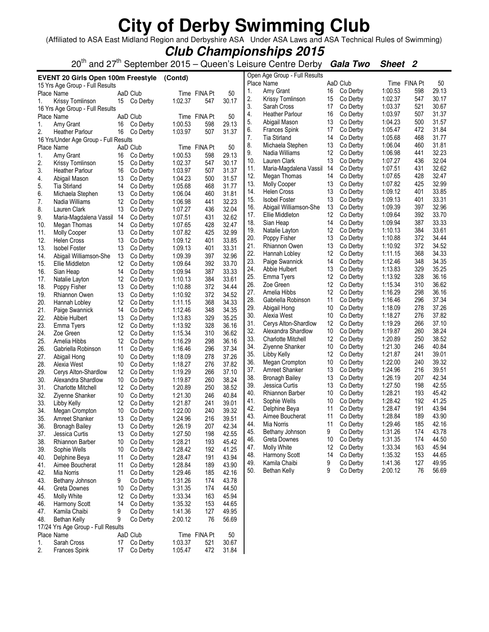(Affiliated to ASA East Midland Region and Derbyshire ASA Under ASA Laws and ASA Technical Rules of Swimming)

### **Club Championships 2015**

20th and 27th September 2015 – Queen's Leisure Centre Derby **Gala Two Sheet 2**

|            | <b>EVENT 20 Girls Open 100m Freestyle</b> |          |                      | (Contd)            |              |                |            | Open Age Group - Full Results             |          |                      |                    |              |                |
|------------|-------------------------------------------|----------|----------------------|--------------------|--------------|----------------|------------|-------------------------------------------|----------|----------------------|--------------------|--------------|----------------|
|            | 15 Yrs Age Group - Full Results           |          |                      |                    |              |                |            | Place Name                                |          | AaD Club             |                    | Time FINA Pt | 50             |
|            | Place Name                                |          | AaD Club             |                    | Time FINA Pt | 50             | 1.         | Amy Grant                                 | 16       | Co Derby             | 1:00.53            | 598          | 29.13          |
| 1.         | Krissy Tomlinson                          |          | 15 Co Derby          | 1:02.37            | 547          | 30.17          | 2.         | Krissy Tomlinson                          | 15       | Co Derby             | 1:02.37            | 547          | 30.17          |
|            | 16 Yrs Age Group - Full Results           |          |                      |                    |              |                | 3.         | Sarah Cross                               | 17       | Co Derby             | 1:03.37            | 521          | 30.67          |
|            | Place Name                                |          | AaD Club             |                    | Time FINA Pt | 50             | 4.         | <b>Heather Parlour</b>                    | 16       | Co Derby             | 1:03.97            | 507          | 31.37          |
| 1.         | Amy Grant                                 | 16       | Co Derby             | 1:00.53            | 598          | 29.13          | 5.         | Abigail Mason                             | 13       | Co Derby             | 1:04.23            | 500          | 31.57          |
| 2.         | <b>Heather Parlour</b>                    | 16       | Co Derby             | 1:03.97            | 507          | 31.37          | 6.         | Frances Spink                             | 17       | Co Derby             | 1:05.47            | 472          | 31.84          |
|            | 16 Yrs/Under Age Group - Full Results     |          |                      |                    |              |                | 7.         | Tia Stirland                              | 14       | Co Derby             | 1:05.68            | 468          | 31.77          |
|            | Place Name                                |          | AaD Club             |                    | Time FINA Pt | 50             | 8.         | Michaela Stephen                          | 13       | Co Derby             | 1:06.04<br>1:06.98 | 460          | 31.81<br>32.23 |
| 1.         | Amy Grant                                 | 16       | Co Derby             | 1:00.53            | 598          | 29.13          | 9.<br>10.  | Nadia Williams<br>Lauren Clark            | 12<br>13 | Co Derby<br>Co Derby | 1:07.27            | 441<br>436   | 32.04          |
| 2.         | Krissy Tomlinson                          | 15       | Co Derby             | 1:02.37            | 547          | 30.17          | 11.        |                                           |          | Co Derby             | 1:07.51            | 431          | 32.62          |
| 3.         | <b>Heather Parlour</b>                    | 16       | Co Derby             | 1:03.97            | 507          | 31.37          | 12.        | Maria-Magdalena Vassil 14<br>Megan Thomas | 14       | Co Derby             | 1:07.65            | 428          | 32.47          |
| 4.         | Abigail Mason                             | 13       | Co Derby             | 1:04.23            | 500          | 31.57          | 13.        | <b>Molly Cooper</b>                       | 13       | Co Derby             | 1:07.82            | 425          | 32.99          |
| 5.         | <b>Tia Stirland</b>                       | 14       | Co Derby             | 1:05.68            | 468          | 31.77          | 14.        | Helen Cross                               | 13       | Co Derby             | 1:09.12            | 401          | 33.85          |
| 6.         | Michaela Stephen                          | 13       | Co Derby             | 1:06.04            | 460          | 31.81          | 15.        | <b>Isobel Foster</b>                      | 13       | Co Derby             | 1:09.13            | 401          | 33.31          |
| 7.         | Nadia Williams                            | 12       | Co Derby             | 1:06.98            | 441          | 32.23          | 16.        | Abigail Williamson-She                    | 13       | Co Derby             | 1:09.39            | 397          | 32.96          |
| 8.         | Lauren Clark                              | 13       | Co Derby             | 1:07.27            | 436          | 32.04          | 17.        | Ellie Middleton                           | 12       | Co Derby             | 1:09.64            | 392          | 33.70          |
| 9.         | Maria-Magdalena Vassil 14                 |          | Co Derby             | 1:07.51            | 431          | 32.62          | 18.        | Sian Heap                                 | 14       | Co Derby             | 1:09.94            | 387          | 33.33          |
| 10.        | Megan Thomas                              | 14       | Co Derby             | 1:07.65            | 428          | 32.47          | 19.        | Natalie Layton                            | 12       | Co Derby             | 1:10.13            | 384          | 33.61          |
| 11.        | <b>Molly Cooper</b>                       | 13       | Co Derby             | 1:07.82            | 425          | 32.99          | 20.        | Poppy Fisher                              | 13       | Co Derby             | 1:10.88            | 372          | 34.44          |
| 12.<br>13. | <b>Helen Cross</b>                        | 13       | Co Derby<br>Co Derby | 1:09.12<br>1:09.13 | 401<br>401   | 33.85<br>33.31 | 21.        | Rhiannon Owen                             | 13       | Co Derby             | 1:10.92            | 372          | 34.52          |
|            | <b>Isobel Foster</b>                      | 13       | Co Derby             | 1:09.39            | 397          | 32.96          | 22.        | Hannah Lobley                             | 12       | Co Derby             | 1:11.15            | 368          | 34.33          |
| 14.<br>15. | Abigail Williamson-She                    | 13       |                      | 1:09.64            | 392          | 33.70          | 23.        | Paige Swannick                            | 14       | Co Derby             | 1:12.46            | 348          | 34.35          |
| 16.        | Ellie Middleton<br>Sian Heap              | 12<br>14 | Co Derby<br>Co Derby | 1:09.94            | 387          | 33.33          | 24.        | Abbie Hulbert                             | 13       | Co Derby             | 1:13.83            | 329          | 35.25          |
| 17.        | Natalie Layton                            | 12       | Co Derby             | 1:10.13            | 384          | 33.61          | 25.        | Emma Tyers                                | 12       | Co Derby             | 1:13.92            | 328          | 36.16          |
| 18.        | Poppy Fisher                              | 13       | Co Derby             | 1:10.88            | 372          | 34.44          | 26.        | Zoe Green                                 | 12       | Co Derby             | 1:15.34            | 310          | 36.62          |
| 19.        | Rhiannon Owen                             | 13       | Co Derby             | 1:10.92            | 372          | 34.52          | 27.        | Amelia Hibbs                              | 12       | Co Derby             | 1:16.29            | 298          | 36.16          |
| 20.        | Hannah Lobley                             | 12       | Co Derby             | 1:11.15            | 368          | 34.33          | 28.        | Gabriella Robinson                        | 11       | Co Derby             | 1:16.46            | 296          | 37.34          |
| 21.        | Paige Swannick                            | 14       | Co Derby             | 1:12.46            | 348          | 34.35          | 29.        | Abigail Hong                              | 10       | Co Derby             | 1:18.09            | 278          | 37.26          |
| 22.        | Abbie Hulbert                             | 13       | Co Derby             | 1:13.83            | 329          | 35.25          | 30.        | Alexia West                               | 10       | Co Derby             | 1:18.27            | 276          | 37.82          |
| 23.        | Emma Tyers                                | 12       | Co Derby             | 1:13.92            | 328          | 36.16          | 31.        | Cerys Alton-Shardlow                      | 12       | Co Derby             | 1:19.29            | 266          | 37.10          |
| 24.        | Zoe Green                                 | 12       | Co Derby             | 1:15.34            | 310          | 36.62          | 32.        | Alexandra Shardlow                        | 10       | Co Derby             | 1:19.87            | 260          | 38.24          |
| 25.        | Amelia Hibbs                              | 12       | Co Derby             | 1:16.29            | 298          | 36.16          | 33.        | <b>Charlotte Mitchell</b>                 | 12       | Co Derby             | 1:20.89            | 250          | 38.52          |
| 26.        | Gabriella Robinson                        | 11       | Co Derby             | 1:16.46            | 296          | 37.34          | 34.        | Ziyenne Shanker                           | 10       | Co Derby             | 1:21.30            | 246          | 40.84          |
| 27.        | Abigail Hong                              | 10       | Co Derby             | 1:18.09            | 278          | 37.26          | 35.        | Libby Kelly                               | 12       | Co Derby             | 1:21.87            | 241          | 39.01          |
| 28.        | Alexia West                               | 10       | Co Derby             | 1:18.27            | 276          | 37.82          | 36.        | Megan Crompton                            | 10       | Co Derby             | 1:22.00            | 240          | 39.32          |
| 29.        | Cerys Alton-Shardlow                      | 12       | Co Derby             | 1:19.29            | 266          | 37.10          | 37.        | <b>Amreet Shanker</b>                     | 13       | Co Derby             | 1:24.96            | 216          | 39.51          |
| 30.        | Alexandra Shardlow                        | 10       | Co Derby             | 1:19.87            | 260          | 38.24          | 38.        | <b>Bronagh Bailey</b>                     | 13       | Co Derby             | 1:26.19            | 207          | 42.34          |
| 31.        | <b>Charlotte Mitchell</b>                 | 12       | Co Derby             | 1:20.89            | 250          | 38.52          | 39.        | Jessica Curtis                            | 13       | Co Derby             | 1:27.50            | 198          | 42.55          |
| 32.        | Ziyenne Shanker                           | 10       | Co Derby             | 1:21.30            | 246          | 40.84          | 40.        | Rhiannon Barber                           | 10       | Co Derby             | 1:28.21            | 193          | 45.42          |
| 33.        | Libby Kelly                               | 12       | Co Derby             | 1:21.87            | 241          | 39.01          | 41.        | Sophie Wells                              | 10       | Co Derby             | 1:28.42            | 192          | 41.25          |
| 34.        | Megan Crompton                            | 10       | Co Derby             | 1:22.00            | 240          | 39.32          | 42.<br>43. | Delphine Beya                             | 11       | Co Derby             | 1:28.47            | 191          | 43.94<br>43.90 |
| 35.        | Amreet Shanker                            | 13       | Co Derby             | 1:24.96            | 216          | 39.51          |            | Aimee Boucherat<br>Mia Norris             | 11<br>11 | Co Derby<br>Co Derby | 1:28.84<br>1:29.46 | 189<br>185   | 42.16          |
| 36.        | <b>Bronagh Bailey</b>                     | 13       | Co Derby             | 1:26.19            | 207          | 42.34          | 44.<br>45. | Bethany Johnson                           | 9        |                      | 1:31.26            | 174          | 43.78          |
| 37.        | Jessica Curtis                            | 13       | Co Derby             | 1:27.50            | 198          | 42.55          | 46.        | Greta Downes                              | 10       | Co Derby<br>Co Derby | 1:31.35            | 174          | 44.50          |
| 38.        | Rhiannon Barber                           | 10       | Co Derby             | 1:28.21            | 193          | 45.42          | 47.        | Molly White                               | 12       | Co Derby             | 1:33.34            | 163          | 45.94          |
| 39.        | Sophie Wells                              | 10       | Co Derby             | 1:28.42            | 192          | 41.25          | 48.        | Harmony Scott                             | 14       | Co Derby             | 1:35.32            | 153          | 44.65          |
| 40.        | Delphine Beya                             | 11       | Co Derby             | 1:28.47            | 191          | 43.94          | 49.        | Kamila Chaibi                             | 9        | Co Derby             | 1:41.36            | 127          | 49.95          |
| 41.        | Aimee Boucherat                           | 11       | Co Derby             | 1:28.84            | 189          | 43.90          | 50.        | Bethan Kelly                              | 9        | Co Derby             | 2:00.12            | 76           | 56.69          |
| 42.        | Mia Norris                                | 11       | Co Derby             | 1:29.46            | 185          | 42.16          |            |                                           |          |                      |                    |              |                |
| 43.        | Bethany Johnson                           | 9        | Co Derby             | 1:31.26            | 174          | 43.78          |            |                                           |          |                      |                    |              |                |
| 44.        | Greta Downes                              | 10       | Co Derby             | 1:31.35            | 174          | 44.50          |            |                                           |          |                      |                    |              |                |
| 45.        | Molly White                               | 12<br>14 | Co Derby             | 1:33.34            | 163          | 45.94          |            |                                           |          |                      |                    |              |                |
| 46.<br>47. | Harmony Scott<br>Kamila Chaibi            | 9        | Co Derby<br>Co Derby | 1:35.32<br>1:41.36 | 153<br>127   | 44.65<br>49.95 |            |                                           |          |                      |                    |              |                |
| 48.        | <b>Bethan Kelly</b>                       | 9        | Co Derby             | 2:00.12            | 76           | 56.69          |            |                                           |          |                      |                    |              |                |
|            | 17/24 Yrs Age Group - Full Results        |          |                      |                    |              |                |            |                                           |          |                      |                    |              |                |
|            | Place Name                                |          | AaD Club             |                    | Time FINA Pt | 50             |            |                                           |          |                      |                    |              |                |
| 1.         | Sarah Cross                               | 17       | Co Derby             | 1:03.37            | 521          | 30.67          |            |                                           |          |                      |                    |              |                |
| 2.         | Frances Spink                             | 17       | Co Derby             | 1:05.47            | 472          | 31.84          |            |                                           |          |                      |                    |              |                |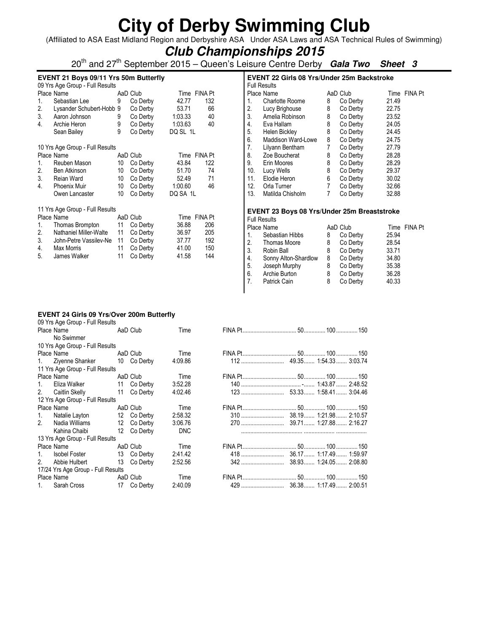(Affiliated to ASA East Midland Region and Derbyshire ASA Under ASA Laws and ASA Technical Rules of Swimming)

### **Club Championships 2015**

20th and 27th September 2015 – Queen's Leisure Centre Derby **Gala Two Sheet 3**

#### **EVENT 21 Boys 09/11 Yrs 50m Butterfly**  09 Yrs Age Group - Full Results

|    | US TIS AGE GIOUD - FUII RESUITS |    |          |              |                |
|----|---------------------------------|----|----------|--------------|----------------|
|    | Place Name                      |    | AaD Club | Time FINA Pt |                |
| 1. | Sebastian Lee                   | 9  | Co Derby | 42.77        | 132            |
| 2. | Lysander Schubert-Hobb 9        |    | Co Derby | 53.71        | 66             |
| 3. | Aaron Johnson                   | 9  | Co Derby | 1:03.33      | 40             |
| 4. | Archie Heron                    | 9  | Co Derby | 1:03.63      | 40             |
|    | Sean Bailey                     | 9  | Co Derby | DQ SL 1L     |                |
|    | 10 Yrs Age Group - Full Results |    |          |              |                |
|    | Place Name                      |    | AaD Club | Time         | <b>FINA Pt</b> |
| 1. | Reuben Mason                    | 10 | Co Derby | 43.84        | 122            |
| 2. | <b>Ben Atkinson</b>             | 10 | Co Derby | 51.70        | 74             |
| 3. | Reian Ward                      | 10 | Co Derby | 52.49        | 71             |
| 4. | <b>Phoenix Muir</b>             | 10 | Co Derby | 1:00.60      | 46             |
|    | Owen Lancaster                  | 10 | Co Derby | DQ SA 1L     |                |
|    | 11 Yrs Age Group - Full Results |    |          |              |                |
|    | Place Name                      |    | AaD Club | Time         | <b>FINA Pt</b> |
| 1. | Thomas Brompton                 | 11 | Co Derby | 36.88        | 206            |
| 2. | Nathaniel Miller-Walte          | 11 | Co Derby | 36.97        | 205            |
| 3. | John-Petre Vassilev-Ne          | 11 | Co Derby | 37.77        | 192            |
| 4. | Max Morris                      | 11 | Co Derby | 41.00        | 150            |
| 5. | James Walker                    | 11 | Co Derby | 41.58        | 144            |
|    |                                 |    |          |              |                |

|     | <b>EVENT 22 Girls 08 Yrs/Under 25m Backstroke</b><br><b>Full Results</b> |   |          |       |         |
|-----|--------------------------------------------------------------------------|---|----------|-------|---------|
|     | Place Name                                                               |   | AaD Club | Time  | FINA Pt |
| 1.  | <b>Charlotte Roome</b>                                                   | 8 | Co Derby | 21.49 |         |
| 2.  | Lucy Brighouse                                                           | 8 | Co Derby | 22.75 |         |
| 3.  | Amelia Robinson                                                          | 8 | Co Derby | 23.52 |         |
| 4.  | Eva Hallam                                                               | 8 | Co Derby | 24.05 |         |
| 5.  | Helen Bickley                                                            | 8 | Co Derby | 24.45 |         |
| 6.  | Maddison Ward-Lowe                                                       | 8 | Co Derby | 24.75 |         |
| 7.  | Lilyann Bentham                                                          | 7 | Co Derby | 27.79 |         |
| 8.  | Zoe Boucherat                                                            | 8 | Co Derby | 28.28 |         |
| 9.  | Erin Moores                                                              | 8 | Co Derby | 28.29 |         |
| 10. | Lucy Wells                                                               | 8 | Co Derby | 29.37 |         |
| 11. | Elodie Heron                                                             | 6 | Co Derby | 30.02 |         |
| 12. | Orla Turner                                                              | 7 | Co Derby | 32.66 |         |
| 13. | Matilda Chisholm                                                         |   | Co Derby | 32.88 |         |

#### **EVENT 23 Boys 08 Yrs/Under 25m Breaststroke**  Full Results

|             | טווטטטווייט          |   |          |       |              |
|-------------|----------------------|---|----------|-------|--------------|
|             | Place Name           |   | AaD Club |       | Time FINA Pt |
| $1_{\cdot}$ | Sebastian Hibbs      | 8 | Co Derby | 25.94 |              |
| 2.          | Thomas Moore         | 8 | Co Derby | 28.54 |              |
| 3.          | Robin Ball           | 8 | Co Derby | 33.71 |              |
| 4.          | Sonny Alton-Shardlow | 8 | Co Derby | 34.80 |              |
| 5.          | Joseph Murphy        | 8 | Co Derby | 35.38 |              |
| 6.          | Archie Burton        | 8 | Co Derby | 36.28 |              |
| 7.          | Patrick Cain         | 8 | Co Derby | 40.33 |              |
|             |                      |   |          |       |              |

#### **EVENT 24 Girls 09 Yrs/Over 200m Butterfly**

| 09 Yrs Age Group - Full Results |                                                                                                                                                                                                               |                                                                                                                                                                                |                                                                                                                                                                                                                                                             |  |  |
|---------------------------------|---------------------------------------------------------------------------------------------------------------------------------------------------------------------------------------------------------------|--------------------------------------------------------------------------------------------------------------------------------------------------------------------------------|-------------------------------------------------------------------------------------------------------------------------------------------------------------------------------------------------------------------------------------------------------------|--|--|
|                                 |                                                                                                                                                                                                               |                                                                                                                                                                                | Time                                                                                                                                                                                                                                                        |  |  |
|                                 |                                                                                                                                                                                                               |                                                                                                                                                                                |                                                                                                                                                                                                                                                             |  |  |
|                                 |                                                                                                                                                                                                               |                                                                                                                                                                                |                                                                                                                                                                                                                                                             |  |  |
|                                 |                                                                                                                                                                                                               |                                                                                                                                                                                | Time                                                                                                                                                                                                                                                        |  |  |
|                                 |                                                                                                                                                                                                               |                                                                                                                                                                                | 4:09.86                                                                                                                                                                                                                                                     |  |  |
|                                 |                                                                                                                                                                                                               |                                                                                                                                                                                |                                                                                                                                                                                                                                                             |  |  |
|                                 |                                                                                                                                                                                                               |                                                                                                                                                                                | Time                                                                                                                                                                                                                                                        |  |  |
|                                 |                                                                                                                                                                                                               |                                                                                                                                                                                | 3:52.28                                                                                                                                                                                                                                                     |  |  |
|                                 |                                                                                                                                                                                                               |                                                                                                                                                                                | 4:02.46                                                                                                                                                                                                                                                     |  |  |
|                                 |                                                                                                                                                                                                               |                                                                                                                                                                                |                                                                                                                                                                                                                                                             |  |  |
|                                 |                                                                                                                                                                                                               |                                                                                                                                                                                | Time                                                                                                                                                                                                                                                        |  |  |
|                                 |                                                                                                                                                                                                               |                                                                                                                                                                                | 2:58.32                                                                                                                                                                                                                                                     |  |  |
|                                 |                                                                                                                                                                                                               |                                                                                                                                                                                | 3:06.76                                                                                                                                                                                                                                                     |  |  |
|                                 |                                                                                                                                                                                                               |                                                                                                                                                                                | <b>DNC</b>                                                                                                                                                                                                                                                  |  |  |
|                                 |                                                                                                                                                                                                               |                                                                                                                                                                                |                                                                                                                                                                                                                                                             |  |  |
|                                 |                                                                                                                                                                                                               |                                                                                                                                                                                | Time                                                                                                                                                                                                                                                        |  |  |
|                                 |                                                                                                                                                                                                               |                                                                                                                                                                                | 2:41.42                                                                                                                                                                                                                                                     |  |  |
|                                 |                                                                                                                                                                                                               |                                                                                                                                                                                | 2:52.56                                                                                                                                                                                                                                                     |  |  |
|                                 |                                                                                                                                                                                                               |                                                                                                                                                                                |                                                                                                                                                                                                                                                             |  |  |
|                                 |                                                                                                                                                                                                               |                                                                                                                                                                                | Time                                                                                                                                                                                                                                                        |  |  |
|                                 |                                                                                                                                                                                                               |                                                                                                                                                                                | 2:40.09                                                                                                                                                                                                                                                     |  |  |
|                                 | No Swimmer<br>Place Name<br>Eliza Walker<br>2. Caitlin Skelly<br>Place Name<br>Natalie Layton<br>Nadia Williams<br>Kahina Chaibi<br>Place Name<br>Isobel Foster<br>Abbie Hulbert<br>Place Name<br>Sarah Cross | 10 Yrs Age Group - Full Results<br>11 Yrs Age Group - Full Results<br>12 Yrs Age Group - Full Results<br>13 Yrs Age Group - Full Results<br>17/24 Yrs Age Group - Full Results | Place Name AaD Club<br>Place Name <b>AaD</b> Club<br>1. Zivenne Shanker 10 Co Derby<br>AaD Club<br>11 Co Derby<br>11 Co Derby<br>AaD Club<br>12 Co Derby<br>12 Co Derby<br>12 Co Derby<br>AaD Club<br>13 Co Derby<br>13 Co Derby<br>AaD Club<br>17 Co Derby |  |  |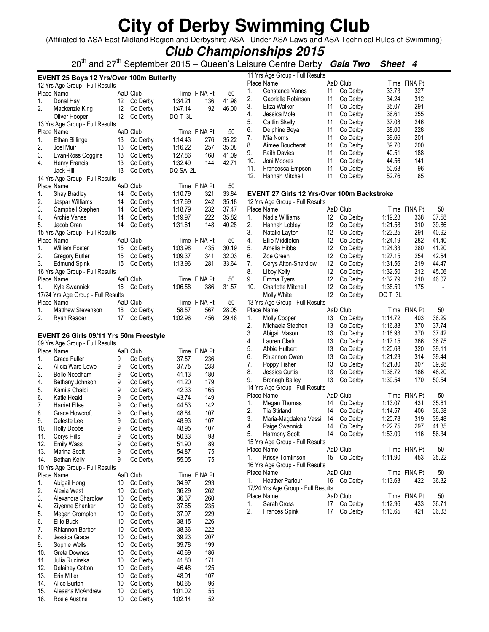(Affiliated to ASA East Midland Region and Derbyshire ASA Under ASA Laws and ASA Technical Rules of Swimming)

### **Club Championships 2015**

20th and 27th September 2015 – Queen's Leisure Centre Derby **Gala Two Sheet 4**

|     | EVENT 25 Boys 12 Yrs/Over 100m Butterfly |    |             |          |              |       |                | 11 Yrs Age Group - Full Results            |    |             |         |              |       |
|-----|------------------------------------------|----|-------------|----------|--------------|-------|----------------|--------------------------------------------|----|-------------|---------|--------------|-------|
|     | 12 Yrs Age Group - Full Results          |    |             |          |              |       |                | Place Name                                 |    | AaD Club    |         | Time FINA Pt |       |
|     | Place Name                               |    | AaD Club    |          | Time FINA Pt | 50    | 1.             | Constance Vanes                            | 11 | Co Derby    | 33.73   | 327          |       |
| 1.  | Donal Hay                                |    | 12 Co Derby | 1:34.21  | 136          | 41.98 | 2.             | Gabriella Robinson                         | 11 | Co Derby    | 34.24   | 312          |       |
| 2.  | Mackenzie King                           | 12 | Co Derby    | 1:47.14  | 92           | 46.00 | 3.             | Eliza Walker                               | 11 | Co Derby    | 35.07   | 291          |       |
|     | Oliver Hooper                            | 12 | Co Derby    | DQ T 3L  |              |       | 4.             | Jessica Mole                               | 11 | Co Derby    | 36.61   | 255          |       |
|     | 13 Yrs Age Group - Full Results          |    |             |          |              |       | 5.             | Caitlin Skelly                             | 11 | Co Derby    | 37.08   | 246          |       |
|     | Place Name                               |    | AaD Club    |          | Time FINA Pt | 50    | 6.             | Delphine Beya                              | 11 | Co Derby    | 38.00   | 228          |       |
| 1.  | Ethan Billinge                           |    | 13 Co Derby | 1:14.43  | 276          | 35.22 | 7.             | Mia Norris                                 | 11 | Co Derby    | 39.66   | 201          |       |
| 2.  | Joel Muir                                | 13 | Co Derby    | 1:16.22  | 257          | 35.08 | 8.             | Aimee Boucherat                            | 11 | Co Derby    | 39.70   | 200          |       |
| 3.  | Evan-Ross Coggins                        | 13 | Co Derby    | 1:27.86  | 168          | 41.09 | 9.             | <b>Faith Davies</b>                        | 11 | Co Derby    | 40.51   | 188          |       |
| 4.  | Henry Francis                            | 13 | Co Derby    | 1:32.49  | 144          | 42.71 | 10.            | Joni Moores                                | 11 | Co Derby    | 44.56   | 141          |       |
|     | Jack Hill                                | 13 | Co Derby    | DQ SA 2L |              |       | 11.            | Francesca Empson                           | 11 | Co Derby    | 50.68   | 96           |       |
|     | 14 Yrs Age Group - Full Results          |    |             |          |              |       | 12.            | Hannah Mitchell                            | 11 | Co Derby    | 52.76   | 85           |       |
|     | Place Name                               |    | AaD Club    |          | Time FINA Pt | 50    |                |                                            |    |             |         |              |       |
| 1.  | Shay Bradley                             | 14 | Co Derby    | 1:10.79  | 321          | 33.84 |                | EVENT 27 Girls 12 Yrs/Over 100m Backstroke |    |             |         |              |       |
| 2.  | Jaspar Williams                          | 14 | Co Derby    | 1:17.69  | 242          | 35.18 |                | 12 Yrs Age Group - Full Results            |    |             |         |              |       |
| 3.  | Campbell Stephen                         | 14 | Co Derby    | 1:18.79  | 232          | 37.47 |                | Place Name                                 |    | AaD Club    |         | Time FINA Pt | 50    |
| 4.  | Archie Vanes                             | 14 | Co Derby    | 1:19.97  | 222          | 35.82 | 1.             | Nadia Williams                             |    | 12 Co Derby | 1:19.28 | 338          | 37.58 |
| 5.  | Jacob Cran                               | 14 | Co Derby    | 1:31.61  | 148          | 40.28 | 2.             | Hannah Lobley                              | 12 | Co Derby    | 1:21.58 | 310          | 39.86 |
|     | 15 Yrs Age Group - Full Results          |    |             |          |              |       | 3.             | Natalie Layton                             | 12 | Co Derby    | 1:23.25 | 291          | 40.92 |
|     | Place Name                               |    | AaD Club    |          | Time FINA Pt | 50    | 4.             | Ellie Middleton                            | 12 | Co Derby    | 1:24.19 | 282          | 41.40 |
| 1.  | <b>William Foster</b>                    | 15 | Co Derby    | 1:03.98  | 435          | 30.19 | 5.             | Amelia Hibbs                               | 12 | Co Derby    | 1:24.33 | 280          | 41.20 |
| 2.  | Gregory Butler                           | 15 | Co Derby    | 1:09.37  | 341          | 32.03 | 6.             | Zoe Green                                  | 12 | Co Derby    | 1:27.15 | 254          | 42.64 |
| 3.  | <b>Edmund Spink</b>                      | 15 | Co Derby    | 1:13.96  | 281          | 33.64 | 7.             | Cerys Alton-Shardlow                       | 12 | Co Derby    | 1:31.56 | 219          | 44.47 |
|     | 16 Yrs Age Group - Full Results          |    |             |          |              |       | 8.             | Libby Kelly                                | 12 | Co Derby    | 1:32.50 | 212          | 45.06 |
|     | Place Name                               |    | AaD Club    |          | Time FINA Pt | 50    | 9.             | Emma Tyers                                 | 12 | Co Derby    | 1:32.79 | 210          | 46.07 |
| 1.  | Kyle Swannick                            | 16 | Co Derby    | 1:06.58  | 386          | 31.57 | 10.            | Charlotte Mitchell                         | 12 | Co Derby    | 1:38.59 | 175          |       |
|     | 17/24 Yrs Age Group - Full Results       |    |             |          |              |       |                | Molly White                                | 12 | Co Derby    | DQ T 3L |              |       |
|     | Place Name                               |    | AaD Club    |          | Time FINA Pt | 50    |                | 13 Yrs Age Group - Full Results            |    |             |         |              |       |
| 1.  | <b>Matthew Stevenson</b>                 | 18 | Co Derby    | 58.57    | 567          | 28.05 |                | Place Name                                 |    | AaD Club    |         | Time FINA Pt | 50    |
| 2.  | Ryan Reader                              | 17 | Co Derby    | 1:02.96  | 456          | 29.48 | 1.             | Molly Cooper                               | 13 | Co Derby    | 1:14.72 | 403          | 36.29 |
|     |                                          |    |             |          |              |       | 2.             | Michaela Stephen                           | 13 | Co Derby    | 1:16.88 | 370          | 37.74 |
|     | EVENT 26 Girls 09/11 Yrs 50m Freestyle   |    |             |          |              |       | 3.             | Abigail Mason                              | 13 | Co Derby    | 1:16.93 | 370          | 37.42 |
|     | 09 Yrs Age Group - Full Results          |    |             |          |              |       | 4.             | Lauren Clark                               | 13 | Co Derby    | 1:17.15 | 366          | 36.75 |
|     | Place Name                               |    | AaD Club    |          | Time FINA Pt |       | 5.             | Abbie Hulbert                              | 13 | Co Derby    | 1:20.68 | 320          | 39.11 |
| 1.  | Grace Fuller                             | 9  | Co Derby    | 37.57    | 236          |       | 6.             | Rhiannon Owen                              | 13 | Co Derby    | 1:21.23 | 314          | 39.44 |
| 2.  | Alicia Ward-Lowe                         | 9  | Co Derby    | 37.75    | 233          |       | 7.             | Poppy Fisher                               | 13 | Co Derby    | 1:21.80 | 307          | 39.98 |
| 3.  | Belle Needham                            | 9  | Co Derby    | 41.13    | 180          |       | 8.             | Jessica Curtis                             | 13 | Co Derby    | 1:36.72 | 186          | 48.20 |
| 4.  | Bethany Johnson                          | 9  | Co Derby    | 41.20    | 179          |       | 9.             | <b>Bronagh Bailey</b>                      | 13 | Co Derby    | 1:39.54 | 170          | 50.54 |
| 5.  | Kamila Chaibi                            | 9  | Co Derby    | 42.33    | 165          |       |                | 14 Yrs Age Group - Full Results            |    |             |         |              |       |
| 6.  | Katie Heald                              | 9  | Co Derby    | 43.74    | 149          |       |                | Place Name                                 |    | AaD Club    |         | Time FINA Pt | 50    |
| 7.  | <b>Harriet Ellse</b>                     | 9  | Co Derby    | 44.53    | 142          |       | 1.             | Megan Thomas                               | 14 | Co Derby    | 1:13.07 | 431          | 35.61 |
| 8.  | Grace Howcroft                           | 9  | Co Derby    | 48.84    | 107          |       | 2.             | <b>Tia Stirland</b>                        | 14 | Co Derby    | 1:14.57 | 406          | 36.68 |
| 9.  | Celeste Lee                              | 9  | Co Derby    | 48.93    | 107          |       | 3.             | Maria-Magdalena Vassil 14                  |    | Co Derby    | 1:20.78 | 319          | 39.48 |
| 10. | <b>Holly Dobbs</b>                       | 9  | Co Derby    | 48.95    | 107          |       | $\overline{4}$ | Paige Swannick                             | 14 | Co Derby    | 1:22.75 | 297          | 41.35 |
| 11. | Cerys Hills                              | 9  | Co Derby    | 50.33    | 98           |       | 5.             | Harmony Scott                              |    | 14 Co Derby | 1:53.09 | 116          | 56.34 |
| 12. | <b>Emily Wass</b>                        | 9  | Co Derby    | 51.90    | 89           |       |                | 15 Yrs Age Group - Full Results            |    |             |         |              |       |
| 13. | Marina Scott                             | 9  | Co Derby    | 54.87    | 75           |       |                | Place Name                                 |    | AaD Club    |         | Time FINA Pt | 50    |
| 14. | Bethan Kelly                             | 9  | Co Derby    | 55.05    | 75           |       | 1.             | Krissy Tomlinson                           |    | 15 Co Derby | 1:11.90 | 453          | 35.22 |
|     | 10 Yrs Age Group - Full Results          |    |             |          |              |       |                | 16 Yrs Age Group - Full Results            |    |             |         |              |       |
|     | Place Name                               |    | AaD Club    |          | Time FINA Pt |       |                | Place Name                                 |    | AaD Club    |         | Time FINA Pt | 50    |
| 1.  | Abigail Hong                             | 10 | Co Derby    | 34.97    | 293          |       | 1.             | <b>Heather Parlour</b>                     |    | 16 Co Derby | 1:13.63 | 422          | 36.32 |
| 2.  | Alexia West                              | 10 | Co Derby    | 36.29    | 262          |       |                | 17/24 Yrs Age Group - Full Results         |    |             |         |              |       |
| 3.  | Alexandra Shardlow                       | 10 | Co Derby    | 36.37    | 260          |       |                | Place Name                                 |    | AaD Club    |         | Time FINA Pt | 50    |
| 4.  | Ziyenne Shanker                          | 10 | Co Derby    | 37.65    | 235          |       | 1.             | Sarah Cross                                |    | 17 Co Derby | 1:12.96 | 433          | 36.71 |
| 5.  | Megan Crompton                           | 10 | Co Derby    | 37.97    | 229          |       | 2.             | <b>Frances Spink</b>                       |    | 17 Co Derby | 1:13.65 | 421          | 36.33 |
| 6.  | Ellie Buck                               | 10 | Co Derby    | 38.15    | 226          |       |                |                                            |    |             |         |              |       |
| 7.  | Rhiannon Barber                          | 10 | Co Derby    | 38.36    | 222          |       |                |                                            |    |             |         |              |       |
| 8.  | Jessica Grace                            | 10 | Co Derby    | 39.23    | 207          |       |                |                                            |    |             |         |              |       |
| 9.  | Sophie Wells                             | 10 | Co Derby    | 39.78    | 199          |       |                |                                            |    |             |         |              |       |
| 10. | Greta Downes                             | 10 | Co Derby    | 40.69    | 186          |       |                |                                            |    |             |         |              |       |
| 11. | Julia Rucinska                           | 10 | Co Derby    | 41.80    | 171          |       |                |                                            |    |             |         |              |       |
| 12. |                                          | 10 | Co Derby    | 46.48    | 125          |       |                |                                            |    |             |         |              |       |
| 13. | Delainey Cotton<br>Erin Miller           | 10 | Co Derby    | 48.91    | 107          |       |                |                                            |    |             |         |              |       |
| 14. | Alice Burton                             | 10 | Co Derby    | 50.65    | 96           |       |                |                                            |    |             |         |              |       |
| 15. | Aleasha McAndrew                         | 10 | Co Derby    | 1:01.02  | 55           |       |                |                                            |    |             |         |              |       |
| 16. | Rosie Austins                            | 10 | Co Derby    | 1:02.14  | 52           |       |                |                                            |    |             |         |              |       |
|     |                                          |    |             |          |              |       |                |                                            |    |             |         |              |       |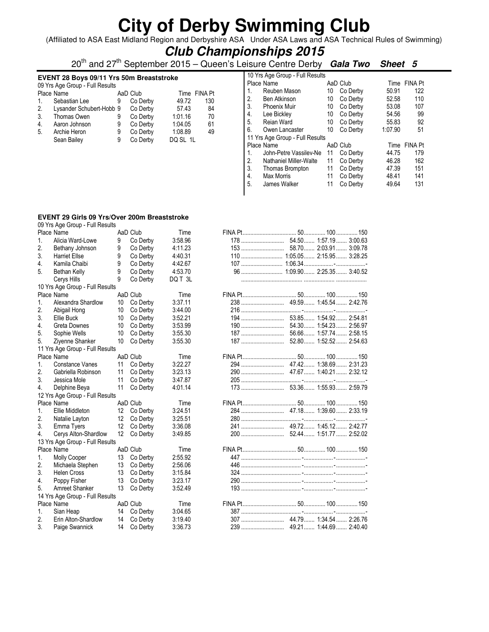(Affiliated to ASA East Midland Region and Derbyshire ASA Under ASA Laws and ASA Technical Rules of Swimming)

### **Club Championships 2015**

20th and 27th September 2015 – Queen's Leisure Centre Derby **Gala Two Sheet 5**

#### **EVENT 28 Boys 09/11 Yrs 50m Breaststroke**

|             | 09 Yrs Age Group - Full Results |   |          |          |              |
|-------------|---------------------------------|---|----------|----------|--------------|
|             | Place Name                      |   | AaD Club |          | Time FINA Pt |
| $1_{\cdot}$ | Sebastian Lee                   | 9 | Co Derby | 49.72    | 130          |
| 2.          | Lysander Schubert-Hobb 9        |   | Co Derby | 57.43    | 84           |
| 3.          | Thomas Owen                     | 9 | Co Derby | 1:01.16  | 70           |
| 4.          | Aaron Johnson                   | 9 | Co Derby | 1:04.05  | 61           |
| 5.          | Archie Heron                    | 9 | Co Derby | 1:08.89  | 49           |
|             | Sean Bailey                     | 9 | Co Derby | DQ SL 1L |              |
|             |                                 |   |          |          |              |

|    | 10 Yrs Age Group - Full Results |    |          |         |                |
|----|---------------------------------|----|----------|---------|----------------|
|    | Place Name                      |    | AaD Club | Time    | <b>FINA Pt</b> |
| 1. | Reuben Mason                    | 10 | Co Derby | 50.91   | 122            |
| 2. | Ben Atkinson                    | 10 | Co Derby | 52.58   | 110            |
| 3. | <b>Phoenix Muir</b>             | 10 | Co Derby | 53.08   | 107            |
| 4. | Lee Bickley                     | 10 | Co Derby | 54.56   | 99             |
| 5. | Reian Ward                      | 10 | Co Derby | 55.83   | 92             |
| 6. | Owen Lancaster                  | 10 | Co Derby | 1:07.90 | 51             |
|    | 11 Yrs Age Group - Full Results |    |          |         |                |
|    | Place Name                      |    | AaD Club | Time    | FINA Pt        |
| 1. | John-Petre Vassilev-Ne          | 11 | Co Derby | 44.75   | 179            |
| 2. | Nathaniel Miller-Walte          | 11 | Co Derby | 46.28   | 162            |
| 3. | Thomas Brompton                 | 11 | Co Derby | 47.39   | 151            |
| 4. | Max Morris                      | 11 | Co Derby | 48.41   | 141            |
| 5. | James Walker                    | 11 | Co Derby | 49.64   | 131            |
|    |                                 |    |          |         |                |

#### **EVENT 29 Girls 09 Yrs/Over 200m Breaststroke**

|                  | 09 Yrs Age Group - Full Results |                 |             |         |  |                       |  |
|------------------|---------------------------------|-----------------|-------------|---------|--|-----------------------|--|
|                  | Place Name                      |                 | AaD Club    | Time    |  |                       |  |
| 1.               | Alicia Ward-Lowe                | 9               | Co Derby    | 3:58.96 |  |                       |  |
| 2.               | Bethany Johnson                 | 9               | Co Derby    | 4:11.23 |  |                       |  |
| 3.               | <b>Harriet Ellse</b>            | 9               | Co Derby    | 4:40.31 |  |                       |  |
| 4.               | Kamila Chaibi                   | 9               | Co Derby    | 4:42.67 |  |                       |  |
| 5 <sub>1</sub>   | Bethan Kelly                    | 9               | Co Derby    | 4:53.70 |  |                       |  |
|                  | Cerys Hills                     | 9               | Co Derby    | DQ T 3L |  |                       |  |
|                  | 10 Yrs Age Group - Full Results |                 |             |         |  |                       |  |
|                  | Place Name                      |                 | AaD Club    | Time    |  |                       |  |
| 1.               | Alexandra Shardlow              | 10              | Co Derbv    | 3:37.11 |  |                       |  |
| 2.               | Abigail Hong                    | 10              | Co Derby    | 3:44.00 |  |                       |  |
| 3.               | Ellie Buck                      | 10              | Co Derby    | 3:52.21 |  |                       |  |
| $\overline{4}$ . | Greta Downes                    | 10              | Co Derby    | 3:53.99 |  | 54.30 1:54.23 2:56.97 |  |
| 5.               | Sophie Wells                    | 10              | Co Derby    | 3:55.30 |  |                       |  |
| 5.               | Ziyenne Shanker                 | 10              | Co Derby    | 3:55.30 |  |                       |  |
|                  | 11 Yrs Age Group - Full Results |                 |             |         |  |                       |  |
|                  | Place Name                      |                 | AaD Club    | Time    |  |                       |  |
| 1.               | Constance Vanes                 | 11              | Co Derby    | 3:22.27 |  |                       |  |
| 2.               | Gabriella Robinson              | 11              | Co Derby    | 3:23.13 |  |                       |  |
| 3.               | Jessica Mole                    | 11              | Co Derby    | 3:47.87 |  |                       |  |
| 4.               | Delphine Beya                   | 11              | Co Derby    | 4:01.14 |  |                       |  |
|                  | 12 Yrs Age Group - Full Results |                 |             |         |  |                       |  |
|                  | Place Name                      |                 | AaD Club    | Time    |  |                       |  |
| $1_{-}$          | Ellie Middleton                 |                 | 12 Co Derby | 3:24.51 |  |                       |  |
| 2.               | Natalie Layton                  | 12              | Co Derby    | 3:25.51 |  |                       |  |
| 3.               | Emma Tyers                      | 12              | Co Derby    | 3:36.08 |  |                       |  |
| $\overline{4}$ . | Cerys Alton-Shardlow            | 12 <sup>°</sup> | Co Derby    | 3:49.85 |  |                       |  |
|                  | 13 Yrs Age Group - Full Results |                 |             |         |  |                       |  |
|                  | Place Name                      |                 | AaD Club    | Time    |  |                       |  |
| 1.               | Molly Cooper                    |                 | 13 Co Derby | 2:55.92 |  |                       |  |
| 2.               | Michaela Stephen                | 13              | Co Derby    | 2:56.06 |  |                       |  |
| 3.               | <b>Helen Cross</b>              | 13              | Co Derby    | 3:15.84 |  |                       |  |
| $\overline{4}$ . | Poppy Fisher                    | 13              | Co Derby    | 3:23.17 |  |                       |  |
| 5.               | Amreet Shanker                  | 13              | Co Derby    | 3:52.49 |  |                       |  |
|                  | 14 Yrs Age Group - Full Results |                 |             |         |  |                       |  |
|                  | Place Name                      |                 | AaD Club    | Time    |  |                       |  |
| 1.               | Sian Heap                       |                 | 14 Co Derby | 3:04.65 |  |                       |  |
| 2.               | Erin Alton-Shardlow             | 14              | Co Derby    | 3:19.40 |  |                       |  |
| 3.               | Paige Swannick                  | 14              | Co Derby    | 3:36.73 |  |                       |  |
|                  |                                 |                 |             |         |  |                       |  |

| 153   | 58.70 2:03.91 3:09.78 |  |
|-------|-----------------------|--|
|       |                       |  |
|       |                       |  |
|       |                       |  |
|       |                       |  |
|       |                       |  |
|       |                       |  |
|       |                       |  |
|       |                       |  |
|       |                       |  |
|       |                       |  |
| 187   | 56.66 1:57.74 2:58.15 |  |
| $187$ | 52.80 1:52.52 2:54.63 |  |
|       |                       |  |
|       |                       |  |
| 294   | 47.42 1:38.69 2:31.23 |  |
|       |                       |  |
|       |                       |  |
|       |                       |  |
|       |                       |  |
|       |                       |  |
|       |                       |  |
|       |                       |  |
|       |                       |  |
|       |                       |  |
|       |                       |  |
|       |                       |  |
|       |                       |  |
|       |                       |  |
|       |                       |  |
|       |                       |  |
|       |                       |  |
|       |                       |  |
|       |                       |  |
|       |                       |  |
|       |                       |  |
|       |                       |  |
|       |                       |  |
|       |                       |  |
|       |                       |  |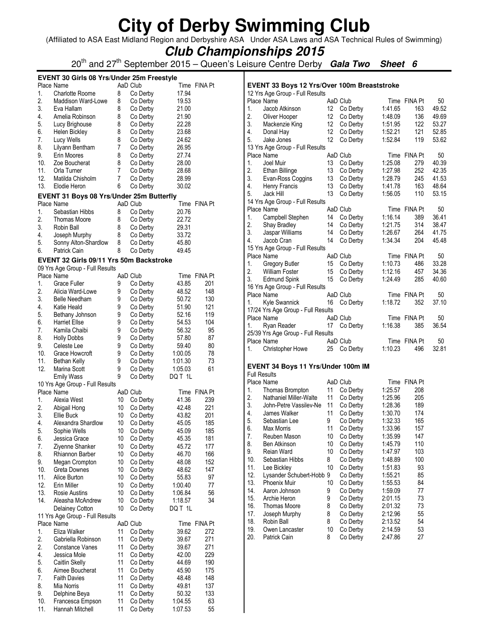(Affiliated to ASA East Midland Region and Derbyshire ASA Under ASA Laws and ASA Technical Rules of Swimming)

**Club Championships 2015**

20<sup>th</sup> and 27<sup>th</sup> September 2015 – Queen's Leisure Centre Derby **Gala Two Sheet 6** 

|          | EVENT 30 Girls 08 Yrs/Under 25m Freestyle            |        |                      |                |              |  |
|----------|------------------------------------------------------|--------|----------------------|----------------|--------------|--|
|          | Place Name                                           |        | AaD Club             |                | Time FINA Pt |  |
| 1.       | <b>Charlotte Roome</b>                               | 8      | Co Derby             | 17.94          |              |  |
| 2.       | <b>Maddison Ward-Lowe</b>                            | 8      | Co Derby             | 19.53          |              |  |
| 3.<br>4. | Eva Hallam                                           | 8<br>8 | Co Derby             | 21.00<br>21.90 |              |  |
| 5.       | Amelia Robinson                                      | 8      | Co Derby             | 22.28          |              |  |
| 6.       | Lucy Brighouse                                       | 8      | Co Derby             |                |              |  |
| 7.       | Helen Bickley                                        | 8      | Co Derby             | 23.68<br>24.62 |              |  |
| 8.       | Lucy Wells<br>Lilyann Bentham                        | 7      | Co Derby<br>Co Derby | 26.95          |              |  |
| 9.       | Erin Moores                                          | 8      | Co Derby             | 27.74          |              |  |
| 10.      | Zoe Boucherat                                        | 8      | Co Derby             | 28.00          |              |  |
| 11.      | Orla Turner                                          | 7      | Co Derby             | 28.68          |              |  |
| 12.      | Matilda Chisholm                                     | 7      | Co Derby             | 28.99          |              |  |
| 13.      | Elodie Heron                                         | 6      | Co Derby             | 30.02          |              |  |
|          | EVENT 31 Boys 08 Yrs/Under 25m Butterfly             |        |                      |                |              |  |
|          | Place Name                                           |        | AaD Club             |                | Time FINA Pt |  |
| 1.       | Sebastian Hibbs                                      | 8      | Co Derby             | 20.76          |              |  |
| 2.       | Thomas Moore                                         | 8      | Co Derby             | 22.72          |              |  |
| 3.       | Robin Ball                                           | 8      | Co Derby             | 29.31          |              |  |
| 4.       | Joseph Murphy                                        | 8      | Co Derby             | 33.72          |              |  |
| 5.       | Sonny Alton-Shardlow                                 | 8      | Co Derby             | 45.80          |              |  |
| 6.       | Patrick Cain                                         | 8      | Co Derby             | 49.45          |              |  |
|          | EVENT 32 Girls 09/11 Yrs 50m Backstroke              |        |                      |                |              |  |
|          | 09 Yrs Age Group - Full Results                      |        |                      |                |              |  |
|          | Place Name                                           |        | AaD Club             |                | Time FINA Pt |  |
| 1.       | Grace Fuller                                         | 9      | Co Derby             | 43.85          | 201          |  |
| 2.       | Alicia Ward-Lowe                                     | 9      | Co Derby             | 48.52          | 148          |  |
| 3.       | <b>Belle Needham</b>                                 | 9      | Co Derby             | 50.72          | 130          |  |
| 4.       | Katie Heald                                          | 9      | Co Derby             | 51.90          | 121          |  |
| 5.       | Bethany Johnson                                      | 9      | Co Derby             | 52.16          | 119          |  |
| 6.       | <b>Harriet Ellse</b>                                 | 9      | Co Derby             | 54.53          | 104          |  |
| 7.       | Kamila Chaibi                                        | 9      | Co Derby             | 56.32          | 95           |  |
| 8.       | <b>Holly Dobbs</b>                                   | 9      | Co Derby             | 57.80          | 87           |  |
| 9.       | Celeste Lee                                          | 9      | Co Derby             | 59.40          | 80           |  |
| 10.      | Grace Howcroft                                       | 9      | Co Derby             | 1:00.05        | 78           |  |
| 11.      | Bethan Kelly                                         | 9      | Co Derby             | 1:01.30        | 73           |  |
| 12.      | Marina Scott                                         | 9      | Co Derby             | 1:05.03        | 61           |  |
|          | <b>Emily Wass</b><br>10 Yrs Age Group - Full Results | 9      | Co Derby             | DQ T 1L        |              |  |
|          | Place Name                                           |        | AaD Club             |                | Time FINA Pt |  |
| 1.       | Alexia West                                          | 10     | Co Derby             | 41.36          | 239          |  |
| 2.       | Abigail Hong                                         | 10     | Co Derby             | 42.48          | 221          |  |
| 3.       | Ellie Buck                                           | 10     | Co Derby             | 43.82          | 201          |  |
| 4.       | Alexandra Shardlow                                   | 10     | Co Derby             | 45.05          | 185          |  |
| 5.       | Sophie Wells                                         | 10     | Co Derby             | 45.09          | 185          |  |
| 6.       | Jessica Grace                                        | 10     | Co Derby             | 45.35          | 181          |  |
| 7.       | Ziyenne Shanker                                      | 10     | Co Derby             | 45.72          | 177          |  |
| 8.       | Rhiannon Barber                                      | 10     | Co Derby             | 46.70          | 166          |  |
| 9.       | Megan Crompton                                       | 10     | Co Derby             | 48.08          | 152          |  |
| 10.      | Greta Downes                                         | 10     | Co Derby             | 48.62          | 147          |  |
| 11.      | Alice Burton                                         | 10     | Co Derby             | 55.83          | 97           |  |
| 12.      | Erin Miller                                          | 10     | Co Derby             | 1:00.40        | 77           |  |
| 13.      | Rosie Austins                                        | 10     | Co Derby             | 1:06.84        | 56           |  |
| 14.      | Aleasha McAndrew                                     | 10     | Co Derby             | 1:18.57        | 34           |  |
|          | <b>Delainey Cotton</b>                               | 10     | Co Derby             | DQT 1L         |              |  |
|          | 11 Yrs Age Group - Full Results                      |        |                      |                |              |  |
|          | Place Name                                           |        | AaD Club             |                | Time FINA Pt |  |
| 1.       | Eliza Walker                                         | 11     | Co Derby             | 39.62          | 272          |  |
| 2.       | Gabriella Robinson                                   | 11     | Co Derby             | 39.67          | 271          |  |
| 2.       | Constance Vanes                                      | 11     | Co Derby             | 39.67          | 271          |  |
| 4.       | Jessica Mole                                         | 11     | Co Derby             | 42.00          | 229          |  |
| 5.       | Caitlin Skelly                                       | 11     | Co Derby             | 44.69          | 190          |  |
| 6.       | Aimee Boucherat                                      | 11     | Co Derby             | 45.90          | 175          |  |
| 7.       | <b>Faith Davies</b>                                  | 11     | Co Derby             | 48.48          | 148          |  |
| 8.       | Mia Norris                                           | 11     | Co Derby             | 49.81          | 137          |  |
| 9.       | Delphine Beya                                        | 11     | Co Derby             | 50.32          | 133          |  |
| 10.      | Francesca Empson                                     | 11     | Co Derby             | 1:04.55        | 63           |  |
| 11.      | Hannah Mitchell                                      | 11     | Co Derby             | 1:07.53        | 55           |  |

|                     | EVENT 33 Boys 12 Yrs/Over 100m Breaststroke |    |          |         |              |       |
|---------------------|---------------------------------------------|----|----------|---------|--------------|-------|
|                     | 12 Yrs Age Group - Full Results             |    |          |         |              |       |
|                     | Place Name                                  |    | AaD Club | Time    | FINA Pt      | 50    |
| 1.                  | Jacob Atkinson                              | 12 | Co Derby | 1:41.65 | 163          | 49.52 |
| 2.                  | Oliver Hooper                               | 12 | Co Derby | 1:48.09 | 136          | 49.69 |
| 3.                  | Mackenzie King                              | 12 | Co Derby | 1:51.95 | 122          | 53.27 |
| 4.                  | Donal Hay                                   | 12 | Co Derby | 1:52.21 | 121          | 52.85 |
| 5.                  | Jake Jones                                  | 12 | Co Derby | 1:52.84 | 119          | 53.62 |
|                     | 13 Yrs Age Group - Full Results             |    |          |         |              |       |
|                     | Place Name                                  |    | AaD Club | Time    | FINA Pt      | 50    |
| 1.                  | Joel Muir                                   | 13 | Co Derby | 1:25.08 | 279          | 40.39 |
| 2.                  | <b>Ethan Billinge</b>                       | 13 | Co Derby | 1:27.98 | 252          | 42.35 |
| 3.                  | Evan-Ross Coggins                           | 13 | Co Derby | 1:28.79 | 245          | 41.53 |
| 4.                  | Henry Francis                               | 13 | Co Derby | 1:41.78 | 163          | 48.64 |
| 5.                  | Jack Hill                                   | 13 | Co Derby | 1:56.05 | 110          | 53.15 |
|                     | 14 Yrs Age Group - Full Results             |    |          |         |              |       |
|                     | Place Name                                  |    | AaD Club |         | Time FINA Pt | 50    |
| 1.                  | Campbell Stephen                            | 14 | Co Derby | 1:16.14 | 389          | 36.41 |
| 2.                  | Shay Bradley                                | 14 | Co Derby | 1:21.75 | 314          | 38.47 |
| 3.                  | Jaspar Williams                             | 14 | Co Derby | 1:26.67 | 264          | 41.75 |
| 4.                  | Jacob Cran                                  | 14 | Co Derby | 1:34.34 | 204          | 45.48 |
|                     | 15 Yrs Age Group - Full Results             |    |          |         |              |       |
|                     | Place Name                                  |    | AaD Club |         | Time FINA Pt | 50    |
| 1.                  | Gregory Butler                              | 15 | Co Derby | 1:10.73 | 486          | 33.28 |
| 2.                  | <b>William Foster</b>                       | 15 | Co Derby | 1:12.16 | 457          | 34.36 |
| 3.                  | <b>Edmund Spink</b>                         | 15 | Co Derby | 1:24.49 | 285          | 40.60 |
|                     | 16 Yrs Age Group - Full Results             |    |          |         |              |       |
|                     | Place Name                                  |    | AaD Club |         | Time FINA Pt | 50    |
| 1.                  | Kyle Swannick                               | 16 | Co Derby | 1:18.72 | 352          | 37.10 |
|                     | 17/24 Yrs Age Group - Full Results          |    |          |         |              |       |
|                     | Place Name                                  |    | AaD Club |         | Time FINA Pt | 50    |
| 1.                  | Ryan Reader                                 | 17 | Co Derby | 1:16.38 | 385          | 36.54 |
|                     | 25/39 Yrs Age Group - Full Results          |    |          |         |              |       |
|                     | Place Name                                  |    | AaD Club |         | Time FINA Pt | 50    |
| 1.                  | Christopher Howe                            | 25 | Co Derby | 1:10.23 | 496          | 32.81 |
|                     | EVENT 34 Boys 11 Yrs/Under 100m IM          |    |          |         |              |       |
| <b>Full Results</b> |                                             |    |          |         |              |       |
|                     | Place Name                                  |    | AaD Club |         | Time FINA Pt |       |
| 1.                  | Thomas Brompton                             | 11 | Co Derby | 1:25.57 | 208          |       |
| 2.                  | Nathaniel Miller-Walte                      | 11 | Co Derby | 1:25.96 | 205          |       |
| 3.                  | John-Petre Vassilev-Ne                      | 11 | Co Derby | 1:28.36 | 189          |       |
| 4.                  | James Walker                                | 11 | Co Derby | 1:30.70 | 174          |       |
| 5.                  | Sebastian Lee                               | 9  | Co Derby | 1:32.33 | 165          |       |
| 6.                  | <b>Max Morris</b>                           | 11 | Co Derby | 1:33.96 | 157          |       |
| 7.                  | Reuben Mason                                | 10 | Co Derby | 1:35.99 | 147          |       |
| 8.                  | Ben Atkinson                                | 10 | Co Derby | 1:45.79 | 110          |       |
| 9.                  | Reian Ward                                  | 10 | Co Derby | 1:47.97 | 103          |       |
| 10.                 | Sebastian Hibbs                             | 8  | Co Derby | 1:48.89 | 100          |       |
| 11.                 | Lee Bickley                                 | 10 | Co Derby | 1:51.83 | 93           |       |
| 12.                 | Lysander Schubert-Hobb 9                    |    | Co Derby | 1:55.21 | 85           |       |
| 13.                 | Phoenix Muir                                | 10 | Co Derby | 1:55.53 | 84           |       |
| 14.                 | Aaron Johnson                               | 9  | Co Derby | 1:59.09 | 77           |       |
| 15.                 | Archie Heron                                | 9  | Co Derby | 2:01.15 | 73           |       |
| 16.                 | Thomas Moore                                | 8  | Co Derby | 2:01.32 | 73           |       |
| 17.                 | Joseph Murphy                               | 8  | Co Derby | 2:12.96 | 55           |       |
| 18.                 | Robin Ball                                  | 8  | Co Derby | 2:13.52 | 54           |       |
| 19.                 | Owen Lancaster                              | 10 | Co Derby | 2:14.59 | 53           |       |
| 20.                 | Patrick Cain                                | 8  | Co Derby | 2:47.86 | 27           |       |
|                     |                                             |    |          |         |              |       |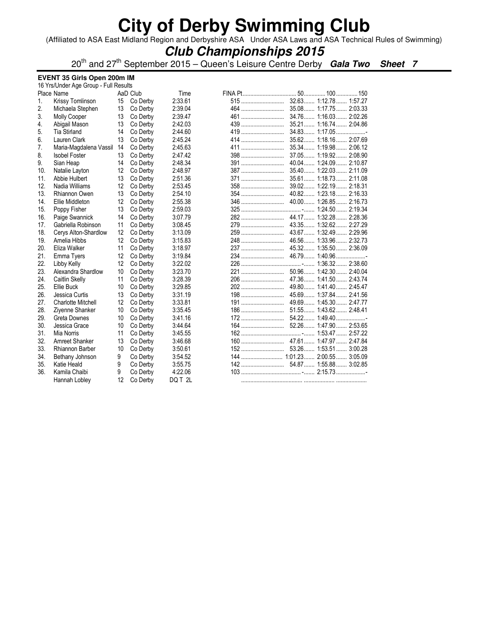(Affiliated to ASA East Midland Region and Derbyshire ASA Under ASA Laws and ASA Technical Rules of Swimming)

### **Club Championships 2015**

20th and 27th September 2015 – Queen's Leisure Centre Derby **Gala Two Sheet 7**

#### **EVENT 35 Girls Open 200m IM**

|     | 16 Yrs/Under Age Group - Full Results |    |          |         |     |                         |  |  |
|-----|---------------------------------------|----|----------|---------|-----|-------------------------|--|--|
|     | Place Name                            |    | AaD Club | Time    |     |                         |  |  |
| 1.  | Krissy Tomlinson                      | 15 | Co Derby | 2:33.61 | 515 | 32.63 1:12.78 1:57.27   |  |  |
| 2.  | Michaela Stephen                      | 13 | Co Derby | 2:39.04 | 464 | 35.08 1:17.75 2:03.33   |  |  |
| 3.  | <b>Molly Cooper</b>                   | 13 | Co Derby | 2:39.47 | 461 | 34.76 1:16.03 2:02.26   |  |  |
| 4.  | Abigail Mason                         | 13 | Co Derby | 2:42.03 |     | 35.21 1:16.74 2:04.86   |  |  |
| 5.  | Tia Stirland                          | 14 | Co Derby | 2:44.60 |     | 34.83 1:17.05           |  |  |
| 6.  | Lauren Clark                          | 13 | Co Derby | 2:45.24 | 414 | 35.62 1:18.16 2:07.69   |  |  |
| 7.  | Maria-Magdalena Vassil                | 14 | Co Derby | 2:45.63 | 411 | 35.34 1:19.98 2:06.12   |  |  |
| 8.  | <b>Isobel Foster</b>                  | 13 | Co Derby | 2:47.42 |     | 37.05 1:19.92 2:08.90   |  |  |
| 9.  | Sian Heap                             | 14 | Co Derby | 2:48.34 |     | 40.04 1:24.09 2:10.87   |  |  |
| 10. | Natalie Layton                        | 12 | Co Derby | 2:48.97 | 387 | 35.40 1:22.03 2:11.09   |  |  |
| 11. | Abbie Hulbert                         | 13 | Co Derby | 2:51.36 | 371 | 35.61 1:18.73 2:11.08   |  |  |
| 12. | Nadia Williams                        | 12 | Co Derby | 2:53.45 |     | 39.02 1:22.19 2:18.31   |  |  |
| 13. | Rhiannon Owen                         | 13 | Co Derby | 2:54.10 | 354 | 40.82 1:23.18 2:16.33   |  |  |
| 14. | Ellie Middleton                       | 12 | Co Derby | 2:55.38 | 346 | 40.00 1:26.85 2:16.73   |  |  |
| 15. | Poppy Fisher                          | 13 | Co Derby | 2:59.03 |     |                         |  |  |
| 16. | Paige Swannick                        | 14 | Co Derby | 3:07.79 | 282 | 44.17  1:32.28  2:28.36 |  |  |
| 17. | Gabriella Robinson                    | 11 | Co Derby | 3:08.45 |     | 43.35 1:32.62 2:27.29   |  |  |
| 18. | Cerys Alton-Shardlow                  | 12 | Co Derby | 3:13.09 |     |                         |  |  |
| 19. | Amelia Hibbs                          | 12 | Co Derby | 3:15.83 |     |                         |  |  |
| 20. | Eliza Walker                          | 11 | Co Derby | 3:18.97 |     |                         |  |  |
| 21. | Emma Tyers                            | 12 | Co Derby | 3:19.84 | 234 | 46.79 1:40.96           |  |  |
| 22. | Libby Kelly                           | 12 | Co Derby | 3:22.02 |     |                         |  |  |
| 23. | Alexandra Shardlow                    | 10 | Co Derby | 3:23.70 | 221 | 50.96  1:42.30  2:40.04 |  |  |
| 24. | Caitlin Skelly                        | 11 | Co Derby | 3:28.39 | 206 | 47.36 1:41.50 2:43.74   |  |  |
| 25. | Ellie Buck                            | 10 | Co Derby | 3:29.85 | 202 | 49.80 1:41.40 2:45.47   |  |  |
| 26. | Jessica Curtis                        | 13 | Co Derby | 3:31.19 | 198 | 45.69 1:37.84 2:41.56   |  |  |
| 27. | <b>Charlotte Mitchell</b>             | 12 | Co Derby | 3:33.81 | 191 | 49.69 1:45.30 2:47.77   |  |  |
| 28. | Ziyenne Shanker                       | 10 | Co Derby | 3:35.45 | 186 | 51.55 1:43.62 2:48.41   |  |  |
| 29. | Greta Downes                          | 10 | Co Derby | 3:41.16 | 172 | 54.22 1:49.40           |  |  |
| 30. | Jessica Grace                         | 10 | Co Derby | 3:44.64 | 164 | 52.26 1:47.90 2:53.65   |  |  |
| 31. | Mia Norris                            | 11 | Co Derby | 3:45.55 |     |                         |  |  |
| 32. | Amreet Shanker                        | 13 | Co Derby | 3:46.68 |     |                         |  |  |
| 33. | <b>Rhiannon Barber</b>                | 10 | Co Derby | 3:50.61 |     | 53.26 1:53.51 3:00.28   |  |  |
| 34. | Bethany Johnson                       | 9  | Co Derby | 3:54.52 |     |                         |  |  |
| 35. | Katie Heald                           | 9  | Co Derby | 3:55.75 |     |                         |  |  |
| 36. | Kamila Chaibi                         | 9  | Co Derby | 4:22.06 |     |                         |  |  |
|     | Hannah Lobley                         | 12 | Co Derby | DQ T 2L |     |                         |  |  |
|     |                                       |    |          |         |     |                         |  |  |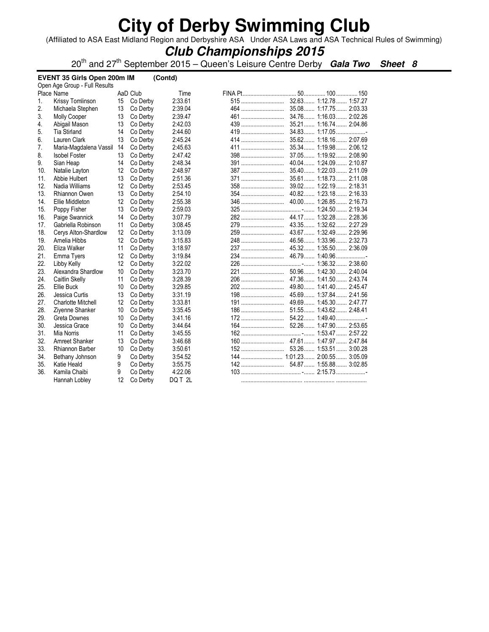(Affiliated to ASA East Midland Region and Derbyshire ASA Under ASA Laws and ASA Technical Rules of Swimming)

### **Club Championships 2015**

20th and 27th September 2015 – Queen's Leisure Centre Derby **Gala Two Sheet 8**

| EVENT 35 Girls Open 200m IM<br>(Contd) |                           |    |          |         |     |                          |
|----------------------------------------|---------------------------|----|----------|---------|-----|--------------------------|
| Open Age Group - Full Results          |                           |    |          |         |     |                          |
|                                        | Place Name                |    | AaD Club | Time    |     |                          |
| 1.                                     | Krissy Tomlinson          | 15 | Co Derby | 2:33.61 | 515 | 32.63 1:12.78 1:57.27    |
| 2.                                     | Michaela Stephen          | 13 | Co Derby | 2:39.04 | 464 | 35.08 1:17.75 2:03.33    |
| 3.                                     | Molly Cooper              | 13 | Co Derby | 2:39.47 | 461 | 34.76 1:16.03 2:02.26    |
| 4.                                     | Abigail Mason             | 13 | Co Derby | 2:42.03 |     | 35.21 1:16.74 2:04.86    |
| 5.                                     | <b>Tia Stirland</b>       | 14 | Co Derby | 2:44.60 |     | 34.83 1:17.05            |
| 6.                                     | Lauren Clark              | 13 | Co Derby | 2:45.24 | 414 | 35.62 1:18.16 2:07.69    |
| 7.                                     | Maria-Magdalena Vassil    | 14 | Co Derby | 2:45.63 |     | 35.34  1:19.98  2:06.12  |
| 8.                                     | <b>Isobel Foster</b>      | 13 | Co Derby | 2:47.42 |     | 37.05 1:19.92<br>2:08.90 |
| 9.                                     | Sian Heap                 | 14 | Co Derby | 2:48.34 |     | 40.04 1:24.09 2:10.87    |
| 10.                                    | Natalie Layton            | 12 | Co Derby | 2:48.97 |     | 35.40 1:22.03 2:11.09    |
| 11.                                    | Abbie Hulbert             | 13 | Co Derby | 2:51.36 |     | 35.61 1:18.73 2:11.08    |
| 12.                                    | Nadia Williams            | 12 | Co Derby | 2:53.45 |     |                          |
| 13.                                    | Rhiannon Owen             | 13 | Co Derby | 2:54.10 |     | 40.82 1:23.18 2:16.33    |
| 14.                                    | Ellie Middleton           | 12 | Co Derby | 2:55.38 | 346 | 40.00 1:26.85 2:16.73    |
| 15.                                    | Poppy Fisher              | 13 | Co Derby | 2:59.03 |     |                          |
| 16.                                    | Paige Swannick            | 14 | Co Derby | 3:07.79 |     |                          |
| 17.                                    | Gabriella Robinson        | 11 | Co Derby | 3:08.45 |     |                          |
| 18.                                    | Cerys Alton-Shardlow      | 12 | Co Derby | 3:13.09 |     |                          |
| 19.                                    | Amelia Hibbs              | 12 | Co Derby | 3:15.83 |     | 46.56 1:33.96 2:32.73    |
| 20.                                    | Eliza Walker              | 11 | Co Derby | 3:18.97 |     | 45.32 1:35.50 2:36.09    |
| 21.                                    | Emma Tyers                | 12 | Co Derby | 3:19.84 |     | 46.79 1:40.96            |
| 22.                                    | Libby Kelly               | 12 | Co Derby | 3:22.02 |     |                          |
| 23.                                    | Alexandra Shardlow        | 10 | Co Derby | 3:23.70 |     | 50.96 1:42.30 2:40.04    |
| 24.                                    | Caitlin Skelly            | 11 | Co Derby | 3:28.39 |     |                          |
| 25.                                    | Ellie Buck                | 10 | Co Derby | 3:29.85 | 202 | 49.80 1:41.40 2:45.47    |
| 26.                                    | Jessica Curtis            | 13 | Co Derby | 3:31.19 | 198 | 45.69 1:37.84 2:41.56    |
| 27.                                    | <b>Charlotte Mitchell</b> | 12 | Co Derby | 3:33.81 | 191 | 49.69 1:45.30 2:47.77    |
| 28.                                    | Ziyenne Shanker           | 10 | Co Derby | 3:35.45 |     | 51.55 1:43.62 2:48.41    |
| 29.                                    | Greta Downes              | 10 | Co Derby | 3:41.16 |     | 54.22 1:49.40            |
| 30.                                    | Jessica Grace             | 10 | Co Derby | 3:44.64 | 164 | 52.26 1:47.90 2:53.65    |
| 31.                                    | Mia Norris                | 11 | Co Derby | 3:45.55 |     |                          |
| 32.                                    | Amreet Shanker            | 13 | Co Derby | 3:46.68 |     |                          |
| 33.                                    | Rhiannon Barber           | 10 | Co Derby | 3:50.61 |     | 53.26 1:53.51 3:00.28    |
| 34.                                    | Bethany Johnson           | 9  | Co Derby | 3:54.52 |     |                          |
| 35.                                    | Katie Heald               | 9  | Co Derby | 3:55.75 |     |                          |
| 36.                                    | Kamila Chaibi             | 9  | Co Derby | 4:22.06 |     |                          |
|                                        | Hannah Lobley             | 12 | Co Derby | DQ T 2L |     |                          |
|                                        |                           |    |          |         |     |                          |